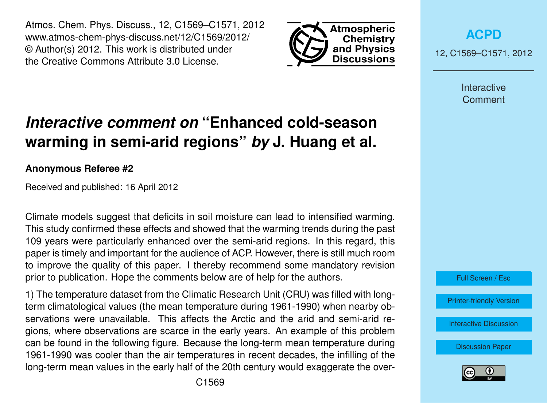Atmos. Chem. Phys. Discuss., 12, C1569–C1571, 2012 www.atmos-chem-phys-discuss.net/12/C1569/2012/ © Author(s) 2012. This work is distributed under the Creative Commons Attribute 3.0 License.



**[ACPD](http://www.atmos-chem-phys-discuss.net)**

12, C1569–C1571, 2012

Interactive **Comment** 

## *Interactive comment on* **"Enhanced cold-season warming in semi-arid regions"** *by* **J. Huang et al.**

## **Anonymous Referee #2**

Received and published: 16 April 2012

Climate models suggest that deficits in soil moisture can lead to intensified warming. This study confirmed these effects and showed that the warming trends during the past 109 years were particularly enhanced over the semi-arid regions. In this regard, this paper is timely and important for the audience of ACP. However, there is still much room to improve the quality of this paper. I thereby recommend some mandatory revision prior to publication. Hope the comments below are of help for the authors.

1) The temperature dataset from the Climatic Research Unit (CRU) was filled with longterm climatological values (the mean temperature during 1961-1990) when nearby observations were unavailable. This affects the Arctic and the arid and semi-arid regions, where observations are scarce in the early years. An example of this problem can be found in the following figure. Because the long-term mean temperature during 1961-1990 was cooler than the air temperatures in recent decades, the infilling of the long-term mean values in the early half of the 20th century would exaggerate the over-



Full Screen / Esc

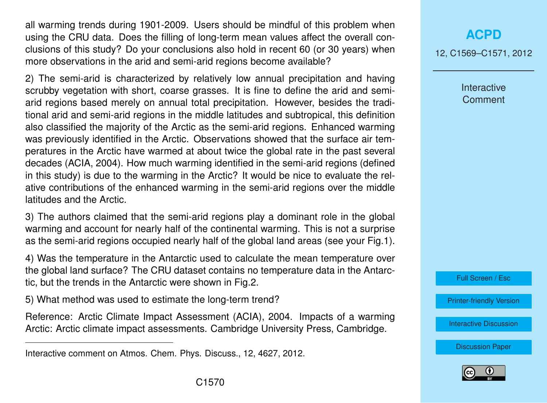all warming trends during 1901-2009. Users should be mindful of this problem when using the CRU data. Does the filling of long-term mean values affect the overall conclusions of this study? Do your conclusions also hold in recent 60 (or 30 years) when more observations in the arid and semi-arid regions become available?

2) The semi-arid is characterized by relatively low annual precipitation and having scrubby vegetation with short, coarse grasses. It is fine to define the arid and semiarid regions based merely on annual total precipitation. However, besides the traditional arid and semi-arid regions in the middle latitudes and subtropical, this definition also classified the majority of the Arctic as the semi-arid regions. Enhanced warming was previously identified in the Arctic. Observations showed that the surface air temperatures in the Arctic have warmed at about twice the global rate in the past several decades (ACIA, 2004). How much warming identified in the semi-arid regions (defined in this study) is due to the warming in the Arctic? It would be nice to evaluate the relative contributions of the enhanced warming in the semi-arid regions over the middle latitudes and the Arctic.

3) The authors claimed that the semi-arid regions play a dominant role in the global warming and account for nearly half of the continental warming. This is not a surprise as the semi-arid regions occupied nearly half of the global land areas (see your Fig.1).

4) Was the temperature in the Antarctic used to calculate the mean temperature over the global land surface? The CRU dataset contains no temperature data in the Antarctic, but the trends in the Antarctic were shown in Fig.2.

5) What method was used to estimate the long-term trend?

Reference: Arctic Climate Impact Assessment (ACIA), 2004. Impacts of a warming Arctic: Arctic climate impact assessments. Cambridge University Press, Cambridge.

## **[ACPD](http://www.atmos-chem-phys-discuss.net)**

12, C1569–C1571, 2012

Interactive **Comment** 

Full Screen / Esc

[Printer-friendly Version](http://www.atmos-chem-phys-discuss.net/12/C1569/2012/acpd-12-C1569-2012-print.pdf)

[Interactive Discussion](http://www.atmos-chem-phys-discuss.net/12/4627/2012/acpd-12-4627-2012-discussion.html)

[Discussion Paper](http://www.atmos-chem-phys-discuss.net/12/4627/2012/acpd-12-4627-2012.pdf)



Interactive comment on Atmos. Chem. Phys. Discuss., 12, 4627, 2012.